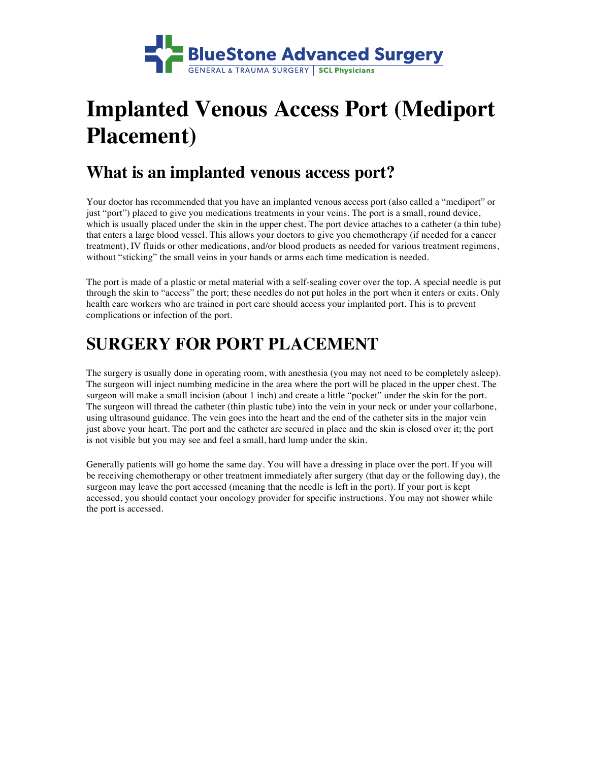

# **Implanted Venous Access Port (Mediport Placement)**

### **What is an implanted venous access port?**

Your doctor has recommended that you have an implanted venous access port (also called a "mediport" or just "port") placed to give you medications treatments in your veins. The port is a small, round device, which is usually placed under the skin in the upper chest. The port device attaches to a catheter (a thin tube) that enters a large blood vessel. This allows your doctors to give you chemotherapy (if needed for a cancer treatment), IV fluids or other medications, and/or blood products as needed for various treatment regimens, without "sticking" the small veins in your hands or arms each time medication is needed.

The port is made of a plastic or metal material with a self-sealing cover over the top. A special needle is put through the skin to "access" the port; these needles do not put holes in the port when it enters or exits. Only health care workers who are trained in port care should access your implanted port. This is to prevent complications or infection of the port.

## **SURGERY FOR PORT PLACEMENT**

The surgery is usually done in operating room, with anesthesia (you may not need to be completely asleep). The surgeon will inject numbing medicine in the area where the port will be placed in the upper chest. The surgeon will make a small incision (about 1 inch) and create a little "pocket" under the skin for the port. The surgeon will thread the catheter (thin plastic tube) into the vein in your neck or under your collarbone, using ultrasound guidance. The vein goes into the heart and the end of the catheter sits in the major vein just above your heart. The port and the catheter are secured in place and the skin is closed over it; the port is not visible but you may see and feel a small, hard lump under the skin.

Generally patients will go home the same day. You will have a dressing in place over the port. If you will be receiving chemotherapy or other treatment immediately after surgery (that day or the following day), the surgeon may leave the port accessed (meaning that the needle is left in the port). If your port is kept accessed, you should contact your oncology provider for specific instructions. You may not shower while the port is accessed.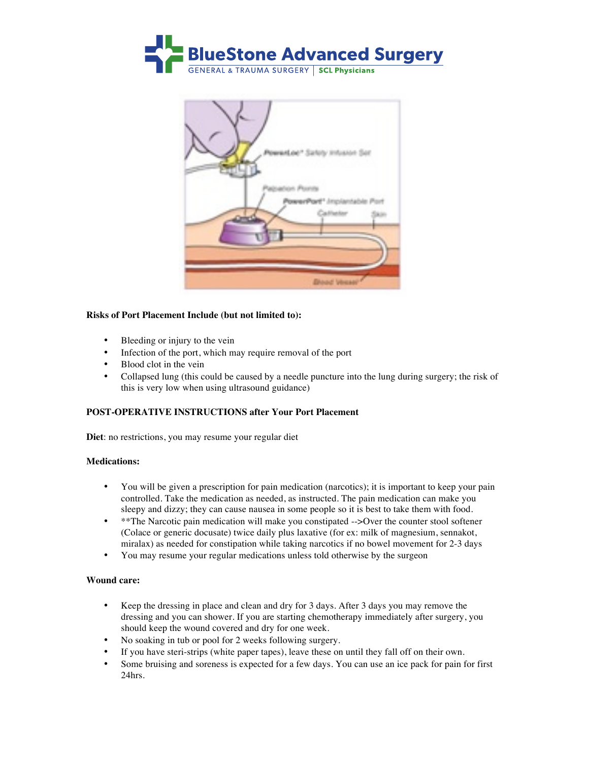



#### **Risks of Port Placement Include (but not limited to):**

- Bleeding or injury to the vein
- Infection of the port, which may require removal of the port
- Blood clot in the vein
- Collapsed lung (this could be caused by a needle puncture into the lung during surgery; the risk of this is very low when using ultrasound guidance)

#### **POST-OPERATIVE INSTRUCTIONS after Your Port Placement**

**Diet**: no restrictions, you may resume your regular diet

#### **Medications:**

- You will be given a prescription for pain medication (narcotics); it is important to keep your pain controlled. Take the medication as needed, as instructed. The pain medication can make you sleepy and dizzy; they can cause nausea in some people so it is best to take them with food.
- \*\*The Narcotic pain medication will make you constipated -->Over the counter stool softener (Colace or generic docusate) twice daily plus laxative (for ex: milk of magnesium, sennakot, miralax) as needed for constipation while taking narcotics if no bowel movement for 2-3 days
- You may resume your regular medications unless told otherwise by the surgeon

#### **Wound care:**

- Keep the dressing in place and clean and dry for 3 days. After 3 days you may remove the dressing and you can shower. If you are starting chemotherapy immediately after surgery, you should keep the wound covered and dry for one week.
- No soaking in tub or pool for 2 weeks following surgery.
- If you have steri-strips (white paper tapes), leave these on until they fall off on their own.
- Some bruising and soreness is expected for a few days. You can use an ice pack for pain for first 24hrs.